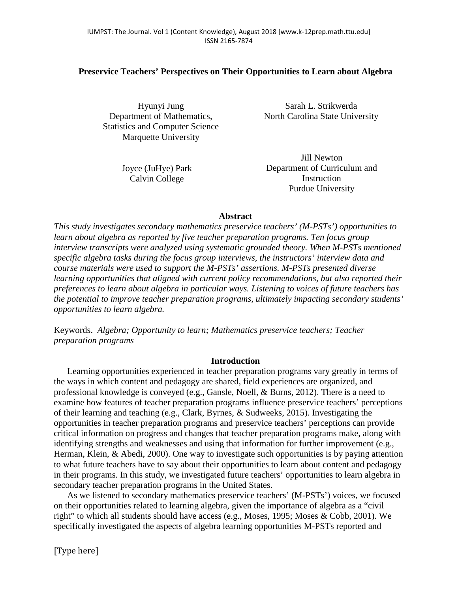# **Preservice Teachers' Perspectives on Their Opportunities to Learn about Algebra**

Hyunyi Jung Department of Mathematics, Statistics and Computer Science Marquette University

> Joyce (JuHye) Park Calvin College

Sarah L. Strikwerda North Carolina State University

Jill Newton Department of Curriculum and Instruction Purdue University

## **Abstract**

*This study investigates secondary mathematics preservice teachers' (M-PSTs') opportunities to learn about algebra as reported by five teacher preparation programs. Ten focus group interview transcripts were analyzed using systematic grounded theory. When M-PSTs mentioned specific algebra tasks during the focus group interviews, the instructors' interview data and course materials were used to support the M-PSTs' assertions. M-PSTs presented diverse learning opportunities that aligned with current policy recommendations, but also reported their preferences to learn about algebra in particular ways. Listening to voices of future teachers has the potential to improve teacher preparation programs, ultimately impacting secondary students' opportunities to learn algebra.* 

Keywords. *Algebra; Opportunity to learn; Mathematics preservice teachers; Teacher preparation programs*

### **Introduction**

Learning opportunities experienced in teacher preparation programs vary greatly in terms of the ways in which content and pedagogy are shared, field experiences are organized, and professional knowledge is conveyed (e.g., Gansle, Noell, & Burns, 2012). There is a need to examine how features of teacher preparation programs influence preservice teachers' perceptions of their learning and teaching (e.g., Clark, Byrnes, & Sudweeks, 2015). Investigating the opportunities in teacher preparation programs and preservice teachers' perceptions can provide critical information on progress and changes that teacher preparation programs make, along with identifying strengths and weaknesses and using that information for further improvement (e.g., Herman, Klein, & Abedi, 2000). One way to investigate such opportunities is by paying attention to what future teachers have to say about their opportunities to learn about content and pedagogy in their programs. In this study, we investigated future teachers' opportunities to learn algebra in secondary teacher preparation programs in the United States.

As we listened to secondary mathematics preservice teachers' (M-PSTs') voices, we focused on their opportunities related to learning algebra, given the importance of algebra as a "civil right" to which all students should have access (e.g., Moses, 1995; Moses & Cobb, 2001). We specifically investigated the aspects of algebra learning opportunities M-PSTs reported and

[Type here]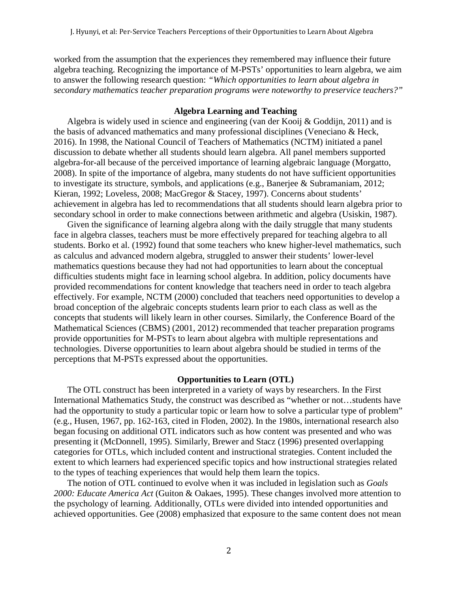worked from the assumption that the experiences they remembered may influence their future algebra teaching. Recognizing the importance of M-PSTs' opportunities to learn algebra, we aim to answer the following research question: *"Which opportunities to learn about algebra in secondary mathematics teacher preparation programs were noteworthy to preservice teachers?"*

# **Algebra Learning and Teaching**

Algebra is widely used in science and engineering (van der Kooij  $\&$  Goddijn, 2011) and is the basis of advanced mathematics and many professional disciplines (Veneciano & Heck, 2016). In 1998, the National Council of Teachers of Mathematics (NCTM) initiated a panel discussion to debate whether all students should learn algebra. All panel members supported algebra-for-all because of the perceived importance of learning algebraic language (Morgatto, 2008). In spite of the importance of algebra, many students do not have sufficient opportunities to investigate its structure, symbols, and applications (e.g., Banerjee & Subramaniam, 2012; Kieran, 1992; Loveless, 2008; MacGregor & Stacey, 1997). Concerns about students' achievement in algebra has led to recommendations that all students should learn algebra prior to secondary school in order to make connections between arithmetic and algebra (Usiskin, 1987).

Given the significance of learning algebra along with the daily struggle that many students face in algebra classes, teachers must be more effectively prepared for teaching algebra to all students. Borko et al. (1992) found that some teachers who knew higher-level mathematics, such as calculus and advanced modern algebra, struggled to answer their students' lower-level mathematics questions because they had not had opportunities to learn about the conceptual difficulties students might face in learning school algebra. In addition, policy documents have provided recommendations for content knowledge that teachers need in order to teach algebra effectively. For example, NCTM (2000) concluded that teachers need opportunities to develop a broad conception of the algebraic concepts students learn prior to each class as well as the concepts that students will likely learn in other courses. Similarly, the Conference Board of the Mathematical Sciences (CBMS) (2001, 2012) recommended that teacher preparation programs provide opportunities for M-PSTs to learn about algebra with multiple representations and technologies. Diverse opportunities to learn about algebra should be studied in terms of the perceptions that M-PSTs expressed about the opportunities.

### **Opportunities to Learn (OTL)**

The OTL construct has been interpreted in a variety of ways by researchers. In the First International Mathematics Study, the construct was described as "whether or not…students have had the opportunity to study a particular topic or learn how to solve a particular type of problem" (e.g., Husen, 1967, pp. 162-163, cited in Floden, 2002). In the 1980s, international research also began focusing on additional OTL indicators such as how content was presented and who was presenting it (McDonnell, 1995). Similarly, Brewer and Stacz (1996) presented overlapping categories for OTLs, which included content and instructional strategies. Content included the extent to which learners had experienced specific topics and how instructional strategies related to the types of teaching experiences that would help them learn the topics.

The notion of OTL continued to evolve when it was included in legislation such as *Goals 2000: Educate America Act* (Guiton & Oakaes, 1995). These changes involved more attention to the psychology of learning. Additionally, OTLs were divided into intended opportunities and achieved opportunities. Gee (2008) emphasized that exposure to the same content does not mean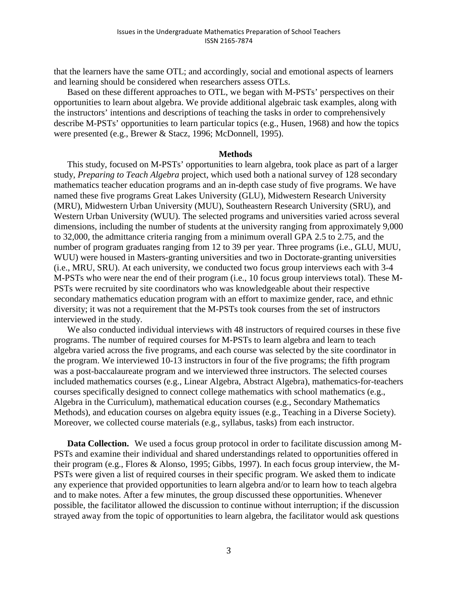that the learners have the same OTL; and accordingly, social and emotional aspects of learners and learning should be considered when researchers assess OTLs.

Based on these different approaches to OTL, we began with M-PSTs' perspectives on their opportunities to learn about algebra. We provide additional algebraic task examples, along with the instructors' intentions and descriptions of teaching the tasks in order to comprehensively describe M-PSTs' opportunities to learn particular topics (e.g., Husen, 1968) and how the topics were presented (e.g., Brewer & Stacz, 1996; McDonnell, 1995).

#### **Methods**

This study, focused on M-PSTs' opportunities to learn algebra, took place as part of a larger study, *Preparing to Teach Algebra* project, which used both a national survey of 128 secondary mathematics teacher education programs and an in-depth case study of five programs. We have named these five programs Great Lakes University (GLU), Midwestern Research University (MRU), Midwestern Urban University (MUU), Southeastern Research University (SRU), and Western Urban University (WUU). The selected programs and universities varied across several dimensions, including the number of students at the university ranging from approximately 9,000 to 32,000, the admittance criteria ranging from a minimum overall GPA 2.5 to 2.75, and the number of program graduates ranging from 12 to 39 per year. Three programs (i.e., GLU, MUU, WUU) were housed in Masters-granting universities and two in Doctorate-granting universities (i.e., MRU, SRU). At each university, we conducted two focus group interviews each with 3-4 M-PSTs who were near the end of their program (i.e., 10 focus group interviews total). These M-PSTs were recruited by site coordinators who was knowledgeable about their respective secondary mathematics education program with an effort to maximize gender, race, and ethnic diversity; it was not a requirement that the M-PSTs took courses from the set of instructors interviewed in the study.

We also conducted individual interviews with 48 instructors of required courses in these five programs. The number of required courses for M-PSTs to learn algebra and learn to teach algebra varied across the five programs, and each course was selected by the site coordinator in the program. We interviewed 10-13 instructors in four of the five programs; the fifth program was a post-baccalaureate program and we interviewed three instructors. The selected courses included mathematics courses (e.g., Linear Algebra, Abstract Algebra), mathematics-for-teachers courses specifically designed to connect college mathematics with school mathematics (e.g., Algebra in the Curriculum), mathematical education courses (e.g., Secondary Mathematics Methods), and education courses on algebra equity issues (e.g., Teaching in a Diverse Society). Moreover, we collected course materials (e.g., syllabus, tasks) from each instructor.

**Data Collection.** We used a focus group protocol in order to facilitate discussion among M-PSTs and examine their individual and shared understandings related to opportunities offered in their program (e.g., Flores & Alonso, 1995; Gibbs, 1997). In each focus group interview, the M-PSTs were given a list of required courses in their specific program. We asked them to indicate any experience that provided opportunities to learn algebra and/or to learn how to teach algebra and to make notes. After a few minutes, the group discussed these opportunities. Whenever possible, the facilitator allowed the discussion to continue without interruption; if the discussion strayed away from the topic of opportunities to learn algebra, the facilitator would ask questions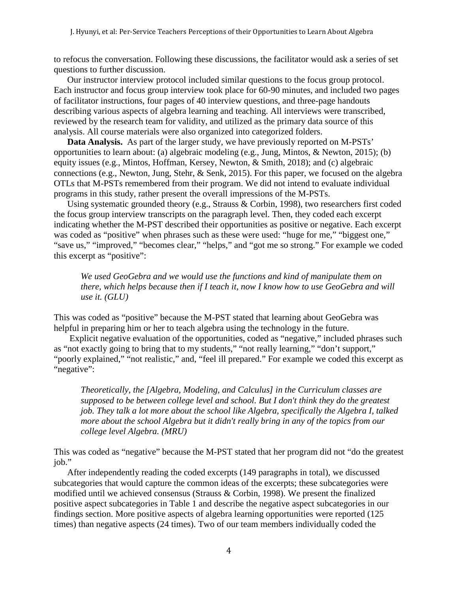to refocus the conversation. Following these discussions, the facilitator would ask a series of set questions to further discussion.

Our instructor interview protocol included similar questions to the focus group protocol. Each instructor and focus group interview took place for 60-90 minutes, and included two pages of facilitator instructions, four pages of 40 interview questions, and three-page handouts describing various aspects of algebra learning and teaching. All interviews were transcribed, reviewed by the research team for validity, and utilized as the primary data source of this analysis. All course materials were also organized into categorized folders.

**Data Analysis.** As part of the larger study, we have previously reported on M-PSTs' opportunities to learn about: (a) algebraic modeling (e.g., Jung, Mintos, & Newton, 2015); (b) equity issues (e.g., Mintos, Hoffman, Kersey, Newton, & Smith, 2018); and (c) algebraic connections (e.g., Newton, Jung, Stehr, & Senk, 2015). For this paper, we focused on the algebra OTLs that M-PSTs remembered from their program. We did not intend to evaluate individual programs in this study, rather present the overall impressions of the M-PSTs.

Using systematic grounded theory (e.g., Strauss & Corbin, 1998), two researchers first coded the focus group interview transcripts on the paragraph level. Then, they coded each excerpt indicating whether the M-PST described their opportunities as positive or negative. Each excerpt was coded as "positive" when phrases such as these were used: "huge for me," "biggest one," "save us," "improved," "becomes clear," "helps," and "got me so strong." For example we coded this excerpt as "positive":

*We used GeoGebra and we would use the functions and kind of manipulate them on there, which helps because then if I teach it, now I know how to use GeoGebra and will use it. (GLU)*

This was coded as "positive" because the M-PST stated that learning about GeoGebra was helpful in preparing him or her to teach algebra using the technology in the future.

Explicit negative evaluation of the opportunities, coded as "negative," included phrases such as "not exactly going to bring that to my students," "not really learning," "don't support," "poorly explained," "not realistic," and, "feel ill prepared." For example we coded this excerpt as "negative":

*Theoretically, the [Algebra, Modeling, and Calculus] in the Curriculum classes are supposed to be between college level and school. But I don't think they do the greatest job. They talk a lot more about the school like Algebra, specifically the Algebra I, talked more about the school Algebra but it didn't really bring in any of the topics from our college level Algebra. (MRU)*

This was coded as "negative" because the M-PST stated that her program did not "do the greatest job."

After independently reading the coded excerpts (149 paragraphs in total), we discussed subcategories that would capture the common ideas of the excerpts; these subcategories were modified until we achieved consensus (Strauss & Corbin, 1998). We present the finalized positive aspect subcategories in Table 1 and describe the negative aspect subcategories in our findings section. More positive aspects of algebra learning opportunities were reported (125 times) than negative aspects (24 times). Two of our team members individually coded the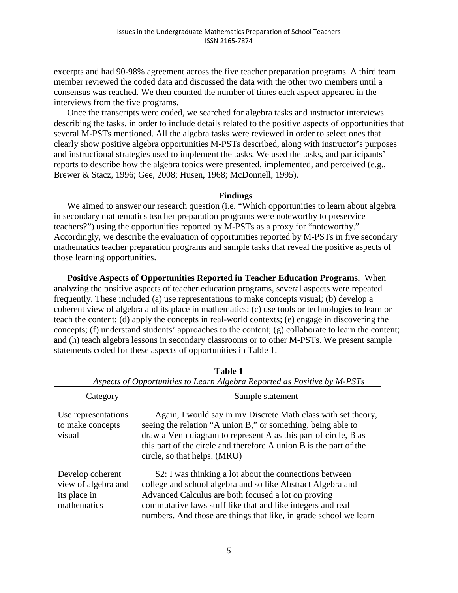excerpts and had 90-98% agreement across the five teacher preparation programs. A third team member reviewed the coded data and discussed the data with the other two members until a consensus was reached. We then counted the number of times each aspect appeared in the interviews from the five programs.

Once the transcripts were coded, we searched for algebra tasks and instructor interviews describing the tasks, in order to include details related to the positive aspects of opportunities that several M-PSTs mentioned. All the algebra tasks were reviewed in order to select ones that clearly show positive algebra opportunities M-PSTs described, along with instructor's purposes and instructional strategies used to implement the tasks. We used the tasks, and participants' reports to describe how the algebra topics were presented, implemented, and perceived (e.g., Brewer & Stacz, 1996; Gee, 2008; Husen, 1968; McDonnell, 1995).

# **Findings**

We aimed to answer our research question (i.e. "Which opportunities to learn about algebra in secondary mathematics teacher preparation programs were noteworthy to preservice teachers?") using the opportunities reported by M-PSTs as a proxy for "noteworthy." Accordingly, we describe the evaluation of opportunities reported by M-PSTs in five secondary mathematics teacher preparation programs and sample tasks that reveal the positive aspects of those learning opportunities.

**Positive Aspects of Opportunities Reported in Teacher Education Programs.** When analyzing the positive aspects of teacher education programs, several aspects were repeated frequently. These included (a) use representations to make concepts visual; (b) develop a coherent view of algebra and its place in mathematics; (c) use tools or technologies to learn or teach the content; (d) apply the concepts in real-world contexts; (e) engage in discovering the concepts; (f) understand students' approaches to the content; (g) collaborate to learn the content; and (h) teach algebra lessons in secondary classrooms or to other M-PSTs. We present sample statements coded for these aspects of opportunities in Table 1.

| Aspects of Opportunities to Learn Algebra Reported as Positive by M-PSTs |                                                                                                                                                                                                                                                                                                                  |  |  |  |
|--------------------------------------------------------------------------|------------------------------------------------------------------------------------------------------------------------------------------------------------------------------------------------------------------------------------------------------------------------------------------------------------------|--|--|--|
| Category                                                                 | Sample statement                                                                                                                                                                                                                                                                                                 |  |  |  |
| Use representations<br>to make concepts<br>visual                        | Again, I would say in my Discrete Math class with set theory,<br>seeing the relation "A union B," or something, being able to<br>draw a Venn diagram to represent A as this part of circle, B as<br>this part of the circle and therefore A union B is the part of the<br>circle, so that helps. (MRU)           |  |  |  |
| Develop coherent<br>view of algebra and<br>its place in<br>mathematics   | S2: I was thinking a lot about the connections between<br>college and school algebra and so like Abstract Algebra and<br>Advanced Calculus are both focused a lot on proving<br>commutative laws stuff like that and like integers and real<br>numbers. And those are things that like, in grade school we learn |  |  |  |

| Table 1                                                                  |
|--------------------------------------------------------------------------|
| Aspects of Opportunities to Learn Algebra Reported as Positive by M-PSTs |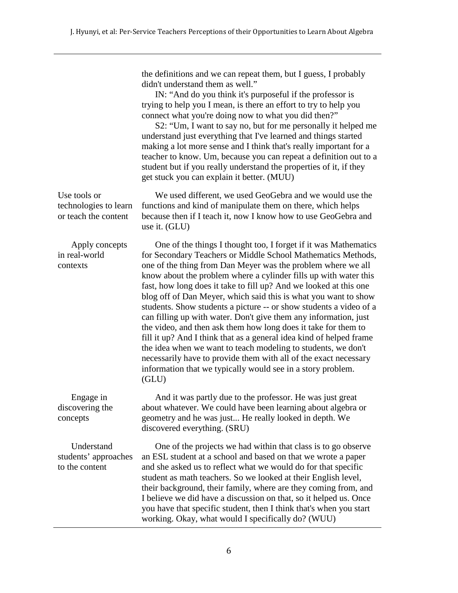the definitions and we can repeat them, but I guess, I probably didn't understand them as well."

IN: "And do you think it's purposeful if the professor is trying to help you I mean, is there an effort to try to help you connect what you're doing now to what you did then?"

S2: "Um, I want to say no, but for me personally it helped me understand just everything that I've learned and things started making a lot more sense and I think that's really important for a teacher to know. Um, because you can repeat a definition out to a student but if you really understand the properties of it, if they get stuck you can explain it better. (MUU)

technologies to learn or teach the content We used different, we used GeoGebra and we would use the functions and kind of manipulate them on there, which helps because then if I teach it, now I know how to use GeoGebra and use it. (GLU)

Apply concepts in real-world contexts One of the things I thought too, I forget if it was Mathematics for Secondary Teachers or Middle School Mathematics Methods, one of the thing from Dan Meyer was the problem where we all know about the problem where a cylinder fills up with water this fast, how long does it take to fill up? And we looked at this one blog off of Dan Meyer, which said this is what you want to show students. Show students a picture -- or show students a video of a can filling up with water. Don't give them any information, just the video, and then ask them how long does it take for them to fill it up? And I think that as a general idea kind of helped frame the idea when we want to teach modeling to students, we don't necessarily have to provide them with all of the exact necessary information that we typically would see in a story problem. (GLU) Engage in discovering the concepts And it was partly due to the professor. He was just great about whatever. We could have been learning about algebra or geometry and he was just... He really looked in depth. We

Use tools or

**Understand** students' approaches to the content One of the projects we had within that class is to go observe an ESL student at a school and based on that we wrote a paper and she asked us to reflect what we would do for that specific student as math teachers. So we looked at their English level, their background, their family, where are they coming from, and I believe we did have a discussion on that, so it helped us. Once you have that specific student, then I think that's when you start working. Okay, what would I specifically do? (WUU)

discovered everything. (SRU)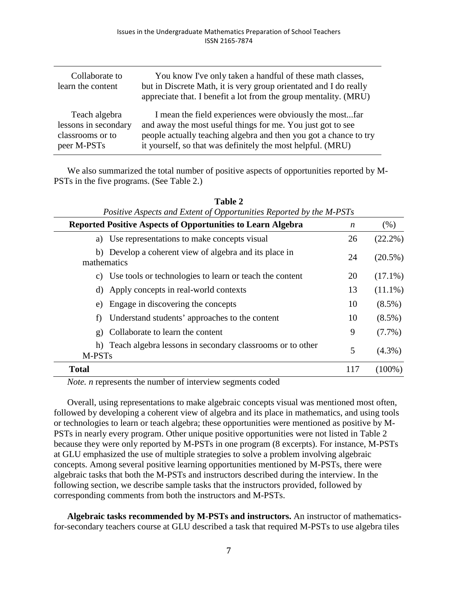| Collaborate to<br>learn the content | You know I've only taken a handful of these math classes,<br>but in Discrete Math, it is very group orientated and I do really<br>appreciate that. I benefit a lot from the group mentality. (MRU) |
|-------------------------------------|----------------------------------------------------------------------------------------------------------------------------------------------------------------------------------------------------|
| Teach algebra                       | I mean the field experiences were obviously the mostfar                                                                                                                                            |
| lessons in secondary                | and away the most useful things for me. You just got to see                                                                                                                                        |
| classrooms or to                    | people actually teaching algebra and then you got a chance to try                                                                                                                                  |
| peer M-PSTs                         | it yourself, so that was definitely the most helpful. (MRU)                                                                                                                                        |

We also summarized the total number of positive aspects of opportunities reported by M-PSTs in the five programs. (See Table 2.)

|                                                | Positive Aspects and Extent of Opportunities Reported by the M-PSTs |                  |            |
|------------------------------------------------|---------------------------------------------------------------------|------------------|------------|
|                                                | <b>Reported Positive Aspects of Opportunities to Learn Algebra</b>  | $\boldsymbol{n}$ | (% )       |
| a) Use representations to make concepts visual |                                                                     | 26               | $(22.2\%)$ |
| mathematics                                    | b) Develop a coherent view of algebra and its place in              | 24               | $(20.5\%)$ |
|                                                | c) Use tools or technologies to learn or teach the content          | 20               | $(17.1\%)$ |
| d) Apply concepts in real-world contexts       |                                                                     | 13               | $(11.1\%)$ |
| e) Engage in discovering the concepts          |                                                                     | 10               | $(8.5\%)$  |
| f)                                             | Understand students' approaches to the content                      | 10               | $(8.5\%)$  |
| Collaborate to learn the content<br>g)         |                                                                     | 9                | $(7.7\%)$  |
| M-PST <sub>s</sub>                             | h) Teach algebra lessons in secondary classrooms or to other        | 5                | $(4.3\%)$  |
| <b>Total</b>                                   |                                                                     | 117              | $(100\%)$  |

**Table 2**

*Note. n* represents the number of interview segments coded

Overall, using representations to make algebraic concepts visual was mentioned most often, followed by developing a coherent view of algebra and its place in mathematics, and using tools or technologies to learn or teach algebra; these opportunities were mentioned as positive by M-PSTs in nearly every program. Other unique positive opportunities were not listed in Table 2 because they were only reported by M-PSTs in one program (8 excerpts). For instance, M-PSTs at GLU emphasized the use of multiple strategies to solve a problem involving algebraic concepts. Among several positive learning opportunities mentioned by M-PSTs, there were algebraic tasks that both the M-PSTs and instructors described during the interview. In the following section, we describe sample tasks that the instructors provided, followed by corresponding comments from both the instructors and M-PSTs.

**Algebraic tasks recommended by M-PSTs and instructors.** An instructor of mathematicsfor-secondary teachers course at GLU described a task that required M-PSTs to use algebra tiles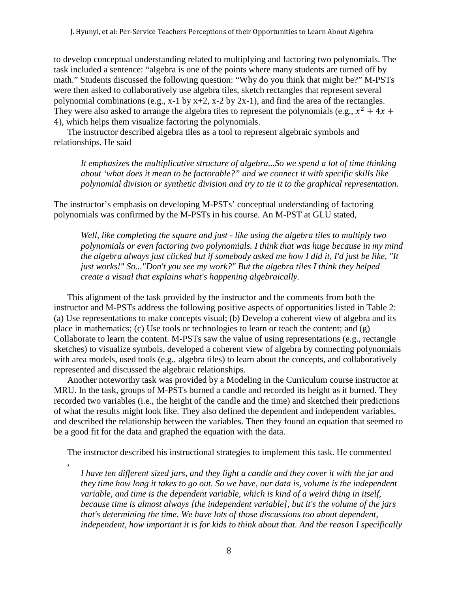to develop conceptual understanding related to multiplying and factoring two polynomials. The task included a sentence: "algebra is one of the points where many students are turned off by math." Students discussed the following question: "Why do you think that might be?" M-PSTs were then asked to collaboratively use algebra tiles, sketch rectangles that represent several polynomial combinations (e.g.,  $x-1$  by  $x+2$ ,  $x-2$  by  $2x-1$ ), and find the area of the rectangles. They were also asked to arrange the algebra tiles to represent the polynomials (e.g.,  $x^2 + 4x +$ 4), which helps them visualize factoring the polynomials.

The instructor described algebra tiles as a tool to represent algebraic symbols and relationships. He said

*It emphasizes the multiplicative structure of algebra...So we spend a lot of time thinking about 'what does it mean to be factorable?" and we connect it with specific skills like polynomial division or synthetic division and try to tie it to the graphical representation.* 

The instructor's emphasis on developing M-PSTs' conceptual understanding of factoring polynomials was confirmed by the M-PSTs in his course. An M-PST at GLU stated,

*Well, like completing the square and just - like using the algebra tiles to multiply two polynomials or even factoring two polynomials. I think that was huge because in my mind the algebra always just clicked but if somebody asked me how I did it, I'd just be like, "It just works!" So..."Don't you see my work?" But the algebra tiles I think they helped create a visual that explains what's happening algebraically.*

This alignment of the task provided by the instructor and the comments from both the instructor and M-PSTs address the following positive aspects of opportunities listed in Table 2: (a) Use representations to make concepts visual; (b) Develop a coherent view of algebra and its place in mathematics; (c) Use tools or technologies to learn or teach the content; and (g) Collaborate to learn the content. M-PSTs saw the value of using representations (e.g., rectangle sketches) to visualize symbols, developed a coherent view of algebra by connecting polynomials with area models, used tools (e.g., algebra tiles) to learn about the concepts, and collaboratively represented and discussed the algebraic relationships.

Another noteworthy task was provided by a Modeling in the Curriculum course instructor at MRU. In the task, groups of M-PSTs burned a candle and recorded its height as it burned. They recorded two variables (i.e., the height of the candle and the time) and sketched their predictions of what the results might look like. They also defined the dependent and independent variables, and described the relationship between the variables. Then they found an equation that seemed to be a good fit for the data and graphed the equation with the data.

The instructor described his instructional strategies to implement this task. He commented

,

*I have ten different sized jars, and they light a candle and they cover it with the jar and they time how long it takes to go out. So we have, our data is, volume is the independent variable, and time is the dependent variable, which is kind of a weird thing in itself, because time is almost always [the independent variable], but it's the volume of the jars that's determining the time. We have lots of those discussions too about dependent, independent, how important it is for kids to think about that. And the reason I specifically*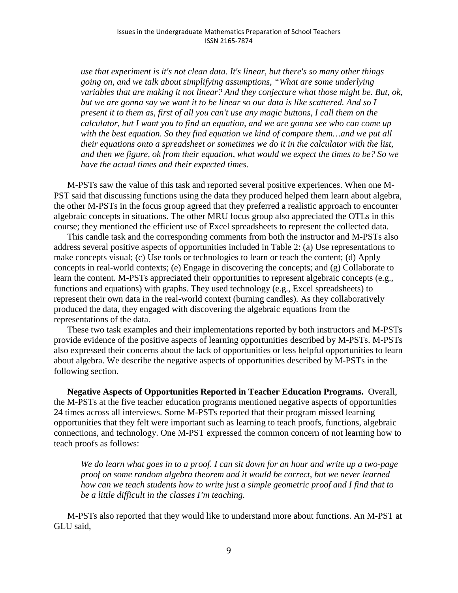*use that experiment is it's not clean data. It's linear, but there's so many other things going on, and we talk about simplifying assumptions, "What are some underlying variables that are making it not linear? And they conjecture what those might be. But, ok, but we are gonna say we want it to be linear so our data is like scattered. And so I present it to them as, first of all you can't use any magic buttons, I call them on the calculator, but I want you to find an equation, and we are gonna see who can come up*  with the best equation. So they find equation we kind of compare them...and we put all *their equations onto a spreadsheet or sometimes we do it in the calculator with the list, and then we figure, ok from their equation, what would we expect the times to be? So we have the actual times and their expected times.*

M-PSTs saw the value of this task and reported several positive experiences. When one M-PST said that discussing functions using the data they produced helped them learn about algebra, the other M-PSTs in the focus group agreed that they preferred a realistic approach to encounter algebraic concepts in situations. The other MRU focus group also appreciated the OTLs in this course; they mentioned the efficient use of Excel spreadsheets to represent the collected data.

This candle task and the corresponding comments from both the instructor and M-PSTs also address several positive aspects of opportunities included in Table 2: (a) Use representations to make concepts visual; (c) Use tools or technologies to learn or teach the content; (d) Apply concepts in real-world contexts; (e) Engage in discovering the concepts; and (g) Collaborate to learn the content. M-PSTs appreciated their opportunities to represent algebraic concepts (e.g., functions and equations) with graphs. They used technology (e.g., Excel spreadsheets) to represent their own data in the real-world context (burning candles). As they collaboratively produced the data, they engaged with discovering the algebraic equations from the representations of the data.

These two task examples and their implementations reported by both instructors and M-PSTs provide evidence of the positive aspects of learning opportunities described by M-PSTs. M-PSTs also expressed their concerns about the lack of opportunities or less helpful opportunities to learn about algebra. We describe the negative aspects of opportunities described by M-PSTs in the following section.

**Negative Aspects of Opportunities Reported in Teacher Education Programs.** Overall, the M-PSTs at the five teacher education programs mentioned negative aspects of opportunities 24 times across all interviews. Some M-PSTs reported that their program missed learning opportunities that they felt were important such as learning to teach proofs, functions, algebraic connections, and technology. One M-PST expressed the common concern of not learning how to teach proofs as follows:

*We do learn what goes in to a proof. I can sit down for an hour and write up a two-page proof on some random algebra theorem and it would be correct, but we never learned how can we teach students how to write just a simple geometric proof and I find that to be a little difficult in the classes I'm teaching.*

M-PSTs also reported that they would like to understand more about functions. An M-PST at GLU said,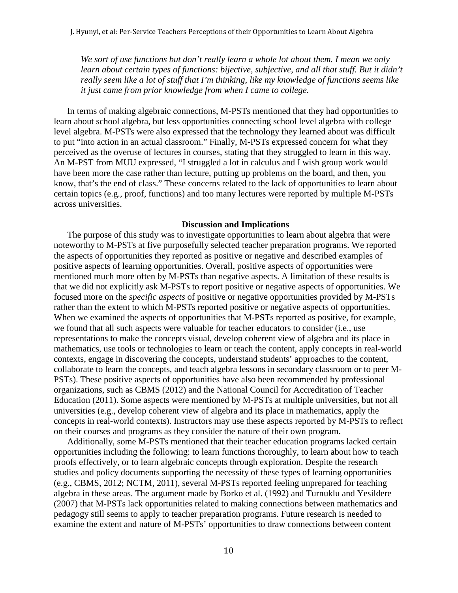*We sort of use functions but don't really learn a whole lot about them. I mean we only learn about certain types of functions: bijective, subjective, and all that stuff. But it didn't really seem like a lot of stuff that I'm thinking, like my knowledge of functions seems like it just came from prior knowledge from when I came to college.*

In terms of making algebraic connections, M-PSTs mentioned that they had opportunities to learn about school algebra, but less opportunities connecting school level algebra with college level algebra. M-PSTs were also expressed that the technology they learned about was difficult to put "into action in an actual classroom." Finally, M-PSTs expressed concern for what they perceived as the overuse of lectures in courses, stating that they struggled to learn in this way. An M-PST from MUU expressed, "I struggled a lot in calculus and I wish group work would have been more the case rather than lecture, putting up problems on the board, and then, you know, that's the end of class." These concerns related to the lack of opportunities to learn about certain topics (e.g., proof, functions) and too many lectures were reported by multiple M-PSTs across universities.

### **Discussion and Implications**

The purpose of this study was to investigate opportunities to learn about algebra that were noteworthy to M-PSTs at five purposefully selected teacher preparation programs. We reported the aspects of opportunities they reported as positive or negative and described examples of positive aspects of learning opportunities. Overall, positive aspects of opportunities were mentioned much more often by M-PSTs than negative aspects. A limitation of these results is that we did not explicitly ask M-PSTs to report positive or negative aspects of opportunities. We focused more on the *specific aspects* of positive or negative opportunities provided by M-PSTs rather than the extent to which M-PSTs reported positive or negative aspects of opportunities. When we examined the aspects of opportunities that M-PSTs reported as positive, for example, we found that all such aspects were valuable for teacher educators to consider (i.e., use representations to make the concepts visual, develop coherent view of algebra and its place in mathematics, use tools or technologies to learn or teach the content, apply concepts in real-world contexts, engage in discovering the concepts, understand students' approaches to the content, collaborate to learn the concepts, and teach algebra lessons in secondary classroom or to peer M-PSTs). These positive aspects of opportunities have also been recommended by professional organizations, such as CBMS (2012) and the National Council for Accreditation of Teacher Education (2011). Some aspects were mentioned by M-PSTs at multiple universities, but not all universities (e.g., develop coherent view of algebra and its place in mathematics, apply the concepts in real-world contexts). Instructors may use these aspects reported by M-PSTs to reflect on their courses and programs as they consider the nature of their own program.

Additionally, some M-PSTs mentioned that their teacher education programs lacked certain opportunities including the following: to learn functions thoroughly, to learn about how to teach proofs effectively, or to learn algebraic concepts through exploration. Despite the research studies and policy documents supporting the necessity of these types of learning opportunities (e.g., CBMS, 2012; NCTM, 2011), several M-PSTs reported feeling unprepared for teaching algebra in these areas. The argument made by Borko et al. (1992) and Turnuklu and Yesildere (2007) that M-PSTs lack opportunities related to making connections between mathematics and pedagogy still seems to apply to teacher preparation programs. Future research is needed to examine the extent and nature of M-PSTs' opportunities to draw connections between content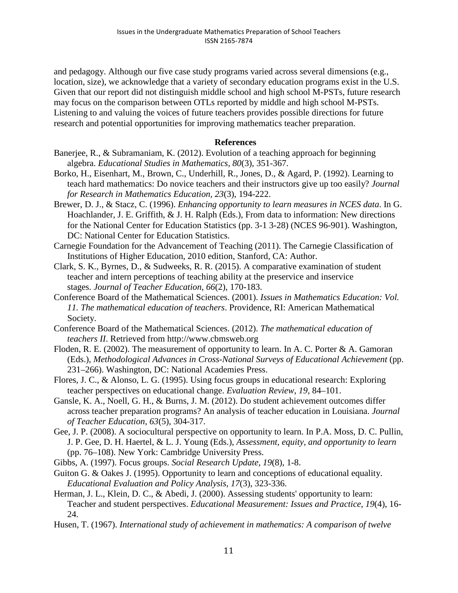and pedagogy. Although our five case study programs varied across several dimensions (e.g., location, size), we acknowledge that a variety of secondary education programs exist in the U.S. Given that our report did not distinguish middle school and high school M-PSTs, future research may focus on the comparison between OTLs reported by middle and high school M-PSTs. Listening to and valuing the voices of future teachers provides possible directions for future research and potential opportunities for improving mathematics teacher preparation.

# **References**

- Banerjee, R., & Subramaniam, K. (2012). Evolution of a teaching approach for beginning algebra. *Educational Studies in Mathematics, 80*(3), 351-367.
- Borko, H., Eisenhart, M., Brown, C., Underhill, R., Jones, D., & Agard, P. (1992). Learning to teach hard mathematics: Do novice teachers and their instructors give up too easily? *Journal for Research in Mathematics Education, 23*(3), 194-222.
- Brewer, D. J., & Stacz, C. (1996). *Enhancing opportunity to learn measures in NCES data*. In G. Hoachlander, J. E. Griffith, & J. H. Ralph (Eds.), From data to information: New directions for the National Center for Education Statistics (pp. 3-1 3-28) (NCES 96-901). Washington, DC: National Center for Education Statistics.
- Carnegie Foundation for the Advancement of Teaching (2011). The Carnegie Classification of Institutions of Higher Education, 2010 edition, Stanford, CA: Author.
- Clark, S. K., Byrnes, D., & Sudweeks, R. R. (2015). A comparative examination of student teacher and intern perceptions of teaching ability at the preservice and inservice stages. *Journal of Teacher Education*, *66*(2), 170-183.
- Conference Board of the Mathematical Sciences. (2001). *Issues in Mathematics Education: Vol. 11. The mathematical education of teachers*. Providence, RI: American Mathematical Society.
- Conference Board of the Mathematical Sciences. (2012). *The mathematical education of teachers II*. Retrieved from [http://www.cbmsweb.org](http://www.cbmsweb.org/)
- Floden, R. E. (2002). The measurement of opportunity to learn. In A. C. Porter & A. Gamoran (Eds.), *Methodological Advances in Cross-National Surveys of Educational Achievement* (pp. 231–266). Washington, DC: National Academies Press.
- Flores, J. C., & Alonso, L. G. (1995). Using focus groups in educational research: Exploring teacher perspectives on educational change. *Evaluation Review*, *19*, 84–101.
- Gansle, K. A., Noell, G. H., & Burns, J. M. (2012). Do student achievement outcomes differ across teacher preparation programs? An analysis of teacher education in Louisiana. *Journal of Teacher Education*, *63*(5), 304-317.
- Gee, J. P. (2008). A sociocultural perspective on opportunity to learn. In P.A. Moss, D. C. Pullin, J. P. Gee, D. H. Haertel, & L. J. Young (Eds.), *Assessment, equity, and opportunity to learn* (pp. 76–108). New York: Cambridge University Press.
- Gibbs, A. (1997). Focus groups. *Social Research Update, 19*(8), 1-8.
- Guiton G. & Oakes J. (1995). Opportunity to learn and conceptions of educational equality. *Educational Evaluation and Policy Analysis, 17*(3), 323-336.
- Herman, J. L., Klein, D. C., & Abedi, J. (2000). Assessing students' opportunity to learn: Teacher and student perspectives. *Educational Measurement: Issues and Practice*, *19*(4), 16- 24.
- Husen, T. (1967). *International study of achievement in mathematics: A comparison of twelve*